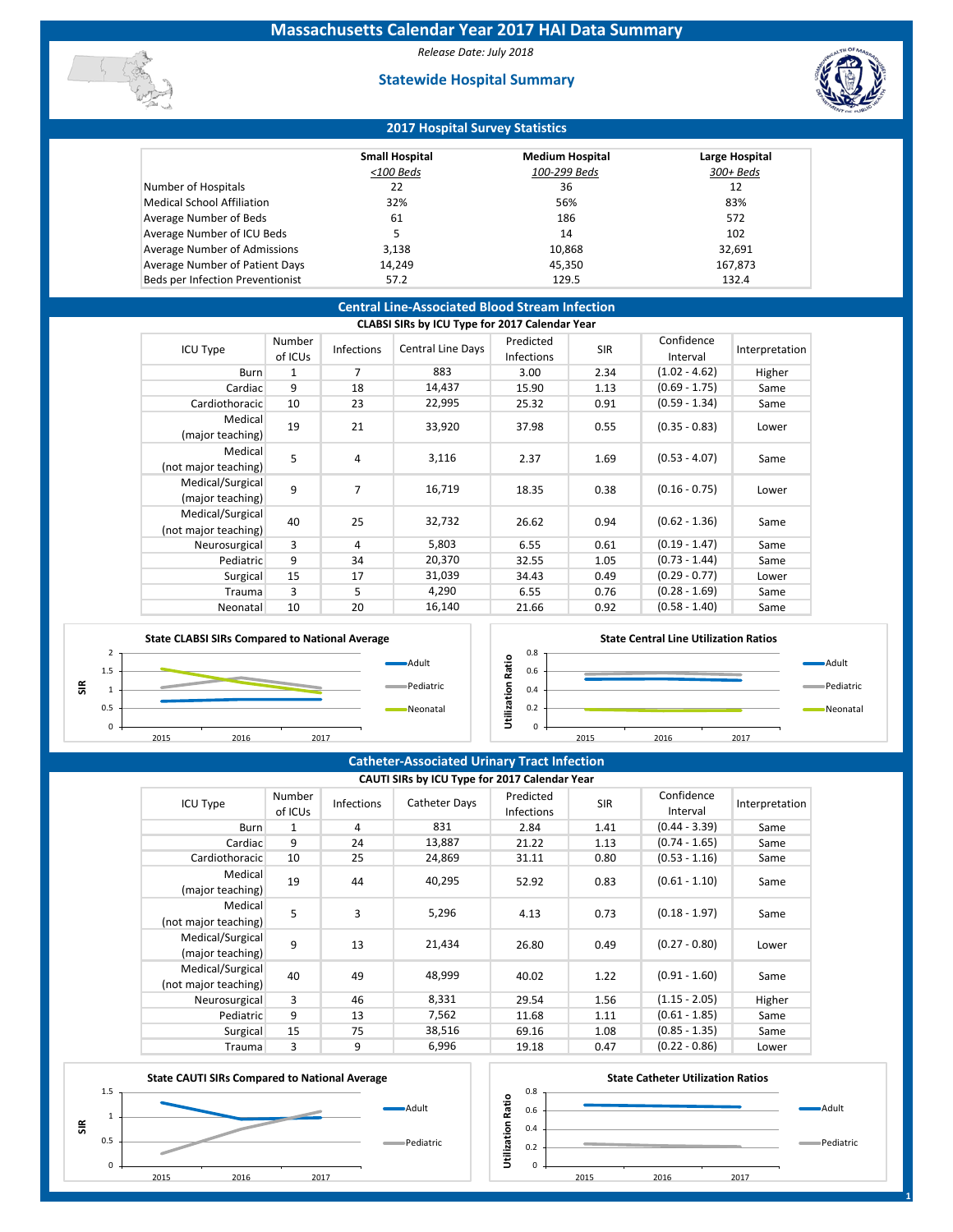*Release Date: July 2018*

## **Statewide Hospital Summary**



## **2017 Hospital Survey Statistics**

|                                   | <b>Small Hospital</b> | <b>Medium Hospital</b> | Large Hospital |
|-----------------------------------|-----------------------|------------------------|----------------|
|                                   | <100 Beds             | 100-299 Beds           | $300 + Beds$   |
| Number of Hospitals               | 22                    | 36                     | 12             |
| <b>Medical School Affiliation</b> | 32%                   | 56%                    | 83%            |
| Average Number of Beds            | 61                    | 186                    | 572            |
| Average Number of ICU Beds        | 5                     | 14                     | 102            |
| Average Number of Admissions      | 3,138                 | 10,868                 | 32,691         |
| Average Number of Patient Days    | 14,249                | 45,350                 | 167,873        |
| Beds per Infection Preventionist  | 57.2                  | 129.5                  | 132.4          |

## **Central Line-Associated Blood Stream Infection**

|                                          |                   |                   | CLABSI SIRs by ICU Type for 2017 Calendar Year |                                |            |                        |                |
|------------------------------------------|-------------------|-------------------|------------------------------------------------|--------------------------------|------------|------------------------|----------------|
| ICU Type                                 | Number<br>of ICUs | <b>Infections</b> | Central Line Days                              | Predicted<br><b>Infections</b> | <b>SIR</b> | Confidence<br>Interval | Interpretation |
| <b>Burn</b>                              | 1                 | 7                 | 883                                            | 3.00                           | 2.34       | $(1.02 - 4.62)$        | Higher         |
| Cardiac                                  | 9                 | 18                | 14,437                                         | 15.90                          | 1.13       | $(0.69 - 1.75)$        | Same           |
| Cardiothoracic                           | 10                | 23                | 22,995                                         | 25.32                          | 0.91       | $(0.59 - 1.34)$        | Same           |
| Medical<br>(major teaching)              | 19                | 21                | 33,920                                         | 37.98                          | 0.55       | $(0.35 - 0.83)$        | Lower          |
| Medical<br>(not major teaching)          | 5                 | 4                 | 3,116                                          | 2.37                           | 1.69       | $(0.53 - 4.07)$        | Same           |
| Medical/Surgical<br>(major teaching)     | 9                 | 7                 | 16,719                                         | 18.35                          | 0.38       | $(0.16 - 0.75)$        | Lower          |
| Medical/Surgical<br>(not major teaching) | 40                | 25                | 32,732                                         | 26.62                          | 0.94       | $(0.62 - 1.36)$        | Same           |
| Neurosurgical                            | 3                 | 4                 | 5,803                                          | 6.55                           | 0.61       | $(0.19 - 1.47)$        | Same           |
| Pediatric                                | 9                 | 34                | 20,370                                         | 32.55                          | 1.05       | $(0.73 - 1.44)$        | Same           |
| Surgical                                 | 15                | 17                | 31,039                                         | 34.43                          | 0.49       | $(0.29 - 0.77)$        | Lower          |
| Trauma                                   | 3                 | 5                 | 4,290                                          | 6.55                           | 0.76       | $(0.28 - 1.69)$        | Same           |
| Neonatal                                 | 10                | 20                | 16,140                                         | 21.66                          | 0.92       | $(0.58 - 1.40)$        | Same           |



### **State Central Line Utilization Ratios**



## **Catheter-Associated Urinary Tract Infection**

| CAUTI SIRs by ICU Type for 2017 Calendar Year |                   |                   |               |                                |            |                        |                |  |  |  |  |  |
|-----------------------------------------------|-------------------|-------------------|---------------|--------------------------------|------------|------------------------|----------------|--|--|--|--|--|
| <b>ICU Type</b>                               | Number<br>of ICUs | <b>Infections</b> | Catheter Days | Predicted<br><b>Infections</b> | <b>SIR</b> | Confidence<br>Interval | Interpretation |  |  |  |  |  |
| <b>Burn</b>                                   | 1                 | 4                 | 831           | 2.84                           | 1.41       | $(0.44 - 3.39)$        | Same           |  |  |  |  |  |
| Cardiac                                       | 9                 | 24                | 13,887        | 21.22                          | 1.13       | $(0.74 - 1.65)$        | Same           |  |  |  |  |  |
| Cardiothoracic                                | 10                | 25                | 24,869        | 31.11                          | 0.80       | $(0.53 - 1.16)$        | Same           |  |  |  |  |  |
| Medical<br>(major teaching)                   | 19                | 44                | 40,295        | 52.92                          | 0.83       | $(0.61 - 1.10)$        | Same           |  |  |  |  |  |
| Medical<br>(not major teaching)               | 5                 | 3                 | 5,296         | 4.13                           | 0.73       | $(0.18 - 1.97)$        | Same           |  |  |  |  |  |
| Medical/Surgical<br>(major teaching)          | 9                 | 13                | 21,434        | 26.80                          | 0.49       | $(0.27 - 0.80)$        | Lower          |  |  |  |  |  |
| Medical/Surgical<br>(not major teaching)      | 40                | 49                | 48,999        | 40.02                          | 1.22       | $(0.91 - 1.60)$        | Same           |  |  |  |  |  |
| Neurosurgical                                 | 3                 | 46                | 8,331         | 29.54                          | 1.56       | $(1.15 - 2.05)$        | Higher         |  |  |  |  |  |
| Pediatric                                     | 9                 | 13                | 7,562         | 11.68                          | 1.11       | $(0.61 - 1.85)$        | Same           |  |  |  |  |  |
| Surgical                                      | 15                | 75                | 38,516        | 69.16                          | 1.08       | $(0.85 - 1.35)$        | Same           |  |  |  |  |  |
| Trauma                                        | 3                 | 9                 | 6,996         | 19.18                          | 0.47       | $(0.22 - 0.86)$        | Lower          |  |  |  |  |  |